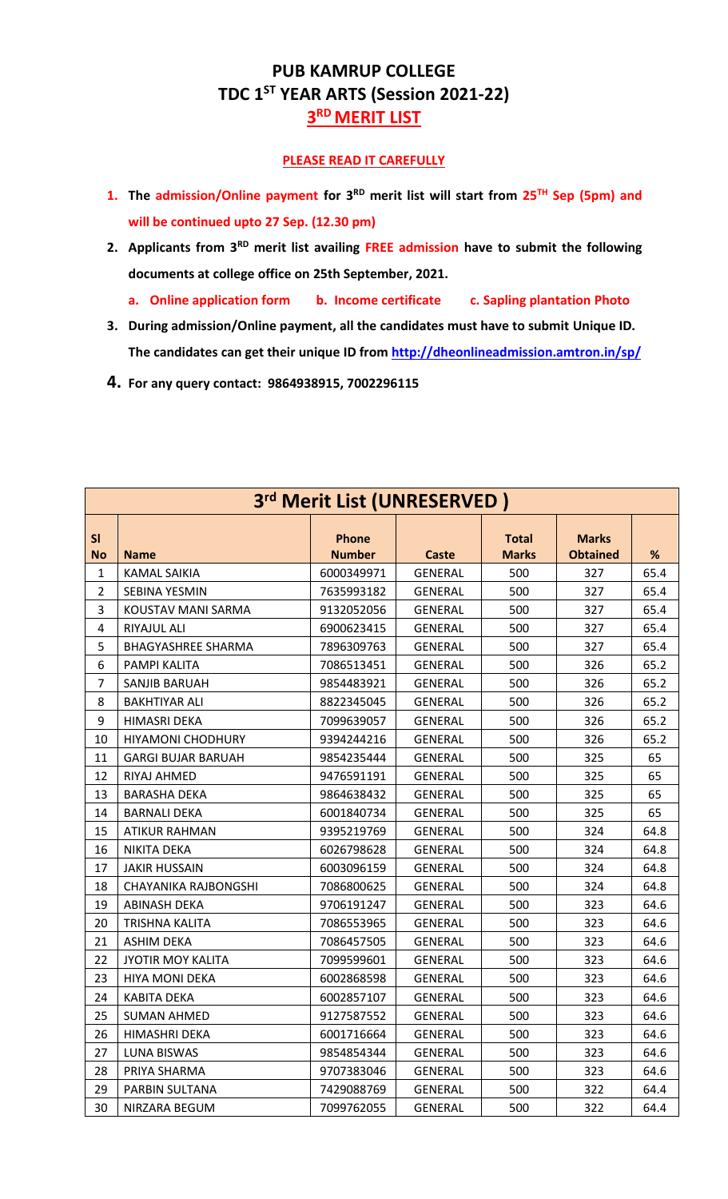## **PUB KAMRUP COLLEGE TDC 1ST YEAR ARTS (Session 2021-22) RD MERIT LIST**

## **PLEASE READ IT CAREFULLY**

- **1. The admission/Online payment for 3 RD merit list will start from 25TH Sep (5pm) and will be continued upto 27 Sep. (12.30 pm)**
- 2. Applicants from 3<sup>RD</sup> merit list availing FREE admission have to submit the following **documents at college office on 25th September, 2021.**
	- **a. Online application form b. Income certificate c. Sapling plantation Photo**
- **3. During admission/Online payment, all the candidates must have to submit Unique ID. The candidates can get their unique ID from<http://dheonlineadmission.amtron.in/sp/>**
- **4. For any query contact: 9864938915, 7002296115**

| 3rd Merit List (UNRESERVED) |                           |                               |                |                              |                                 |      |  |
|-----------------------------|---------------------------|-------------------------------|----------------|------------------------------|---------------------------------|------|--|
| SI<br><b>No</b>             | <b>Name</b>               | <b>Phone</b><br><b>Number</b> | <b>Caste</b>   | <b>Total</b><br><b>Marks</b> | <b>Marks</b><br><b>Obtained</b> | %    |  |
| $\mathbf{1}$                | <b>KAMAL SAIKIA</b>       | 6000349971                    | <b>GENERAL</b> | 500                          | 327                             | 65.4 |  |
| $\overline{2}$              | <b>SEBINA YESMIN</b>      | 7635993182                    | GENERAL        | 500                          | 327                             | 65.4 |  |
| 3                           | KOUSTAV MANI SARMA        | 9132052056                    | <b>GENERAL</b> | 500                          | 327                             | 65.4 |  |
| 4                           | RIYAJUL ALI               | 6900623415                    | <b>GENERAL</b> | 500                          | 327                             | 65.4 |  |
| 5                           | <b>BHAGYASHREE SHARMA</b> | 7896309763                    | <b>GENERAL</b> | 500                          | 327                             | 65.4 |  |
| 6                           | PAMPI KALITA              | 7086513451                    | GENERAL        | 500                          | 326                             | 65.2 |  |
| $\overline{7}$              | SANJIB BARUAH             | 9854483921                    | <b>GENERAL</b> | 500                          | 326                             | 65.2 |  |
| 8                           | <b>BAKHTIYAR ALI</b>      | 8822345045                    | <b>GENERAL</b> | 500                          | 326                             | 65.2 |  |
| 9                           | <b>HIMASRI DEKA</b>       | 7099639057                    | GENERAL        | 500                          | 326                             | 65.2 |  |
| 10                          | <b>HIYAMONI CHODHURY</b>  | 9394244216                    | <b>GENERAL</b> | 500                          | 326                             | 65.2 |  |
| 11                          | <b>GARGI BUJAR BARUAH</b> | 9854235444                    | <b>GENERAL</b> | 500                          | 325                             | 65   |  |
| 12                          | <b>RIYAJ AHMED</b>        | 9476591191                    | <b>GENERAL</b> | 500                          | 325                             | 65   |  |
| 13                          | <b>BARASHA DEKA</b>       | 9864638432                    | <b>GENERAL</b> | 500                          | 325                             | 65   |  |
| 14                          | <b>BARNALI DEKA</b>       | 6001840734                    | <b>GENERAL</b> | 500                          | 325                             | 65   |  |
| 15                          | <b>ATIKUR RAHMAN</b>      | 9395219769                    | <b>GENERAL</b> | 500                          | 324                             | 64.8 |  |
| 16                          | <b>NIKITA DEKA</b>        | 6026798628                    | <b>GENERAL</b> | 500                          | 324                             | 64.8 |  |
| 17                          | <b>JAKIR HUSSAIN</b>      | 6003096159                    | <b>GENERAL</b> | 500                          | 324                             | 64.8 |  |
| 18                          | CHAYANIKA RAJBONGSHI      | 7086800625                    | GENERAL        | 500                          | 324                             | 64.8 |  |
| 19                          | <b>ABINASH DEKA</b>       | 9706191247                    | <b>GENERAL</b> | 500                          | 323                             | 64.6 |  |
| 20                          | TRISHNA KALITA            | 7086553965                    | <b>GENERAL</b> | 500                          | 323                             | 64.6 |  |
| 21                          | <b>ASHIM DEKA</b>         | 7086457505                    | <b>GENERAL</b> | 500                          | 323                             | 64.6 |  |
| 22                          | JYOTIR MOY KALITA         | 7099599601                    | <b>GENERAL</b> | 500                          | 323                             | 64.6 |  |
| 23                          | <b>HIYA MONI DEKA</b>     | 6002868598                    | <b>GENERAL</b> | 500                          | 323                             | 64.6 |  |
| 24                          | <b>KABITA DEKA</b>        | 6002857107                    | <b>GENERAL</b> | 500                          | 323                             | 64.6 |  |
| 25                          | <b>SUMAN AHMED</b>        | 9127587552                    | GENERAL        | 500                          | 323                             | 64.6 |  |
| 26                          | HIMASHRI DEKA             | 6001716664                    | GENERAL        | 500                          | 323                             | 64.6 |  |
| 27                          | LUNA BISWAS               | 9854854344                    | <b>GENERAL</b> | 500                          | 323                             | 64.6 |  |
| 28                          | PRIYA SHARMA              | 9707383046                    | GENERAL        | 500                          | 323                             | 64.6 |  |
| 29                          | PARBIN SULTANA            | 7429088769                    | <b>GENERAL</b> | 500                          | 322                             | 64.4 |  |
| 30                          | NIRZARA BEGUM             | 7099762055                    | <b>GENERAL</b> | 500                          | 322                             | 64.4 |  |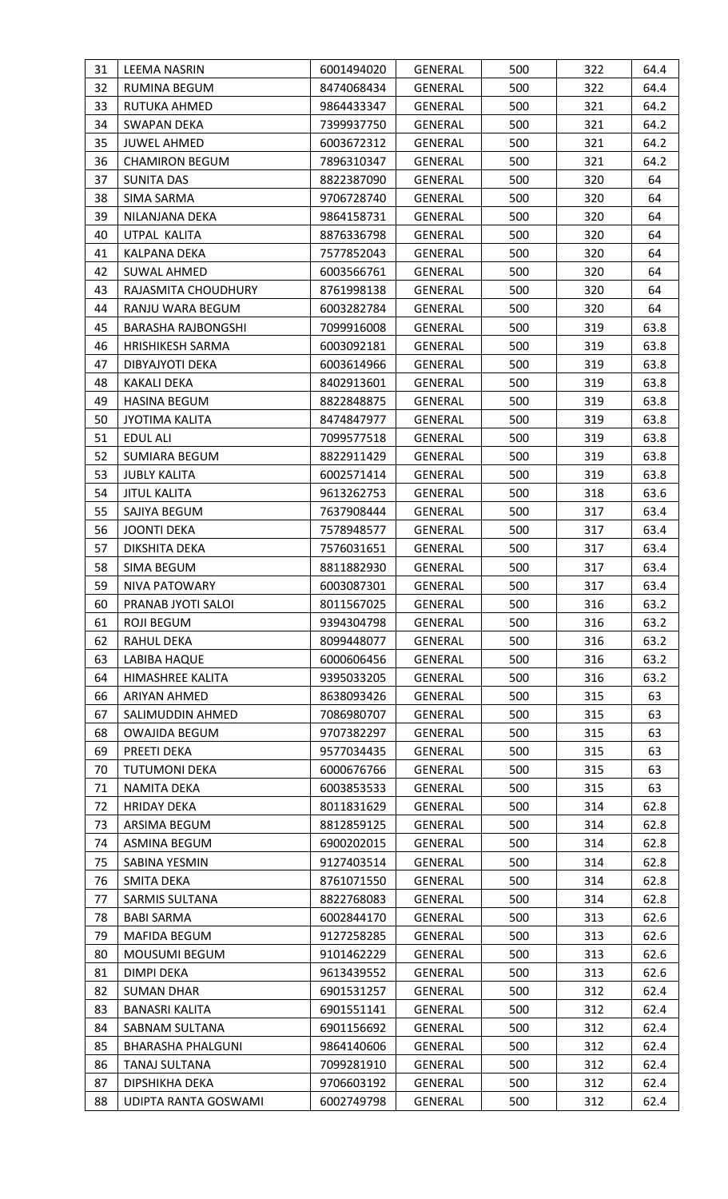| 31 | <b>LEEMA NASRIN</b>       | 6001494020 | <b>GENERAL</b> | 500 | 322 | 64.4 |
|----|---------------------------|------------|----------------|-----|-----|------|
| 32 | <b>RUMINA BEGUM</b>       | 8474068434 | <b>GENERAL</b> | 500 | 322 | 64.4 |
| 33 | RUTUKA AHMED              | 9864433347 | GENERAL        | 500 | 321 | 64.2 |
| 34 | SWAPAN DEKA               | 7399937750 | GENERAL        | 500 | 321 | 64.2 |
| 35 | <b>JUWEL AHMED</b>        | 6003672312 | <b>GENERAL</b> | 500 | 321 | 64.2 |
| 36 | <b>CHAMIRON BEGUM</b>     | 7896310347 | GENERAL        | 500 | 321 | 64.2 |
| 37 | <b>SUNITA DAS</b>         | 8822387090 | GENERAL        | 500 | 320 | 64   |
| 38 | SIMA SARMA                | 9706728740 | GENERAL        | 500 | 320 | 64   |
| 39 | NILANJANA DEKA            | 9864158731 | GENERAL        | 500 | 320 | 64   |
| 40 | UTPAL KALITA              | 8876336798 | GENERAL        | 500 | 320 | 64   |
| 41 | KALPANA DEKA              | 7577852043 | GENERAL        | 500 | 320 | 64   |
| 42 | <b>SUWAL AHMED</b>        | 6003566761 | <b>GENERAL</b> | 500 | 320 | 64   |
| 43 | RAJASMITA CHOUDHURY       | 8761998138 | <b>GENERAL</b> | 500 | 320 | 64   |
| 44 | RANJU WARA BEGUM          | 6003282784 | GENERAL        | 500 | 320 | 64   |
| 45 | <b>BARASHA RAJBONGSHI</b> | 7099916008 | GENERAL        | 500 | 319 | 63.8 |
| 46 | <b>HRISHIKESH SARMA</b>   | 6003092181 | GENERAL        | 500 | 319 | 63.8 |
| 47 | DIBYAJYOTI DEKA           | 6003614966 | GENERAL        | 500 | 319 | 63.8 |
| 48 | <b>KAKALI DEKA</b>        | 8402913601 | GENERAL        | 500 | 319 | 63.8 |
| 49 | <b>HASINA BEGUM</b>       | 8822848875 | <b>GENERAL</b> | 500 | 319 | 63.8 |
| 50 | <b>JYOTIMA KALITA</b>     | 8474847977 | GENERAL        | 500 | 319 | 63.8 |
| 51 | <b>EDUL ALI</b>           | 7099577518 | GENERAL        | 500 | 319 | 63.8 |
| 52 | SUMIARA BEGUM             | 8822911429 | GENERAL        | 500 | 319 | 63.8 |
| 53 | <b>JUBLY KALITA</b>       | 6002571414 | GENERAL        | 500 | 319 | 63.8 |
| 54 | <b>JITUL KALITA</b>       | 9613262753 | GENERAL        | 500 | 318 | 63.6 |
| 55 | SAJIYA BEGUM              | 7637908444 | GENERAL        | 500 | 317 | 63.4 |
| 56 | <b>JOONTI DEKA</b>        | 7578948577 | <b>GENERAL</b> | 500 | 317 | 63.4 |
| 57 | DIKSHITA DEKA             | 7576031651 | GENERAL        | 500 | 317 | 63.4 |
| 58 | SIMA BEGUM                | 8811882930 | GENERAL        | 500 | 317 | 63.4 |
| 59 | NIVA PATOWARY             | 6003087301 | GENERAL        | 500 | 317 | 63.4 |
| 60 | PRANAB JYOTI SALOI        | 8011567025 | <b>GENERAL</b> | 500 | 316 | 63.2 |
| 61 | <b>ROJI BEGUM</b>         | 9394304798 | <b>GENERAL</b> | 500 | 316 | 63.2 |
| 62 | <b>RAHUL DEKA</b>         | 8099448077 | <b>GENERAL</b> | 500 | 316 | 63.2 |
| 63 | LABIBA HAQUE              | 6000606456 | GENERAL        | 500 | 316 | 63.2 |
| 64 | HIMASHREE KALITA          | 9395033205 | GENERAL        | 500 | 316 | 63.2 |
| 66 | ARIYAN AHMED              | 8638093426 | GENERAL        | 500 | 315 | 63   |
| 67 | SALIMUDDIN AHMED          | 7086980707 | <b>GENERAL</b> | 500 | 315 | 63   |
| 68 | <b>OWAJIDA BEGUM</b>      | 9707382297 | GENERAL        | 500 | 315 | 63   |
| 69 | PREETI DEKA               | 9577034435 | <b>GENERAL</b> | 500 | 315 | 63   |
| 70 | <b>TUTUMONI DEKA</b>      | 6000676766 | <b>GENERAL</b> | 500 | 315 | 63   |
| 71 | NAMITA DEKA               | 6003853533 | <b>GENERAL</b> | 500 | 315 | 63   |
| 72 | <b>HRIDAY DEKA</b>        | 8011831629 | GENERAL        | 500 | 314 | 62.8 |
| 73 | ARSIMA BEGUM              | 8812859125 | GENERAL        | 500 | 314 | 62.8 |
| 74 | ASMINA BEGUM              | 6900202015 | GENERAL        | 500 | 314 | 62.8 |
| 75 | SABINA YESMIN             | 9127403514 | GENERAL        | 500 | 314 | 62.8 |
| 76 | SMITA DEKA                | 8761071550 | GENERAL        | 500 | 314 | 62.8 |
| 77 | <b>SARMIS SULTANA</b>     | 8822768083 | <b>GENERAL</b> | 500 | 314 | 62.8 |
| 78 | <b>BABI SARMA</b>         | 6002844170 | GENERAL        | 500 | 313 | 62.6 |
| 79 | MAFIDA BEGUM              | 9127258285 | GENERAL        | 500 | 313 | 62.6 |
| 80 | MOUSUMI BEGUM             | 9101462229 | <b>GENERAL</b> | 500 | 313 | 62.6 |
| 81 | DIMPI DEKA                | 9613439552 | GENERAL        | 500 | 313 | 62.6 |
| 82 | <b>SUMAN DHAR</b>         | 6901531257 | GENERAL        | 500 | 312 | 62.4 |
| 83 | <b>BANASRI KALITA</b>     | 6901551141 | GENERAL        | 500 | 312 | 62.4 |
| 84 | SABNAM SULTANA            | 6901156692 | <b>GENERAL</b> | 500 | 312 | 62.4 |
| 85 | <b>BHARASHA PHALGUNI</b>  | 9864140606 | GENERAL        | 500 | 312 | 62.4 |
| 86 | <b>TANAJ SULTANA</b>      | 7099281910 | <b>GENERAL</b> | 500 | 312 | 62.4 |
| 87 | DIPSHIKHA DEKA            | 9706603192 | GENERAL        | 500 | 312 | 62.4 |
| 88 | UDIPTA RANTA GOSWAMI      | 6002749798 | <b>GENERAL</b> | 500 | 312 | 62.4 |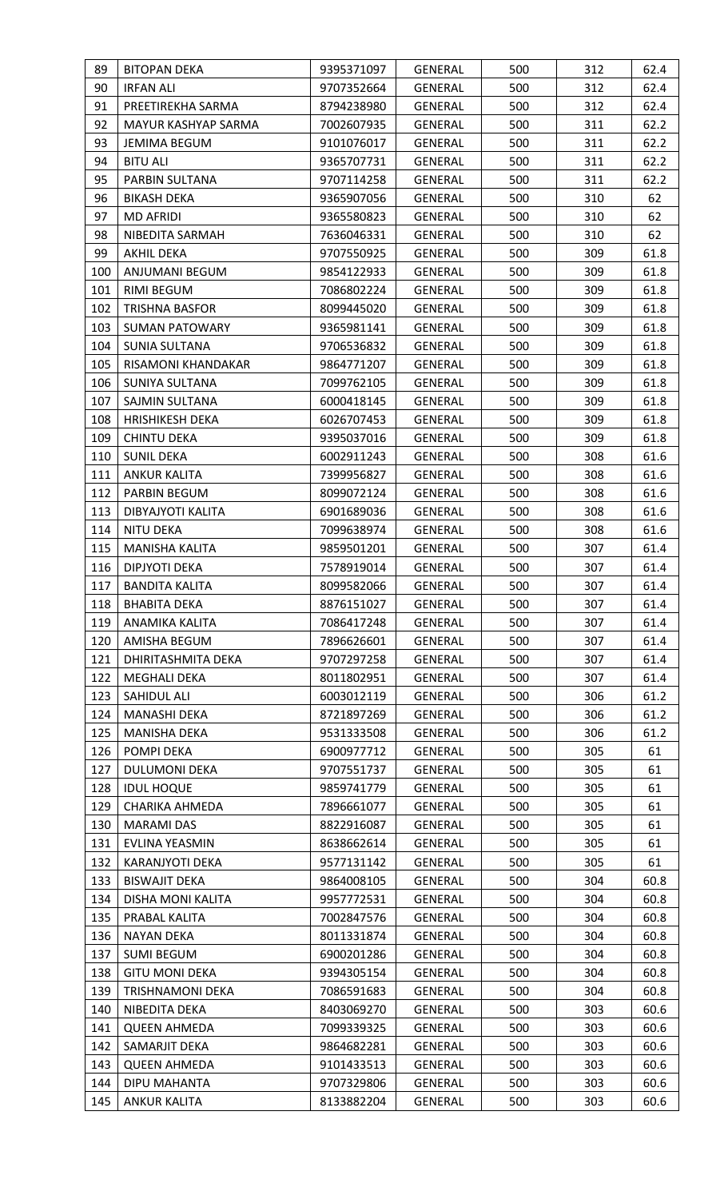| 89         | <b>BITOPAN DEKA</b>                 | 9395371097               | GENERAL                   | 500        | 312        | 62.4     |
|------------|-------------------------------------|--------------------------|---------------------------|------------|------------|----------|
| 90         | <b>IRFAN ALI</b>                    | 9707352664               | GENERAL                   | 500        | 312        | 62.4     |
| 91         | PREETIREKHA SARMA                   | 8794238980               | GENERAL                   | 500        | 312        | 62.4     |
| 92         | MAYUR KASHYAP SARMA                 | 7002607935               | GENERAL                   | 500        | 311        | 62.2     |
| 93         | <b>JEMIMA BEGUM</b>                 | 9101076017               | <b>GENERAL</b>            | 500        | 311        | 62.2     |
| 94         | <b>BITU ALI</b>                     | 9365707731               | <b>GENERAL</b>            | 500        | 311        | 62.2     |
| 95         | PARBIN SULTANA                      | 9707114258               | GENERAL                   | 500        | 311        | 62.2     |
| 96         | <b>BIKASH DEKA</b>                  | 9365907056               | <b>GENERAL</b>            | 500        | 310        | 62       |
| 97         | <b>MD AFRIDI</b>                    | 9365580823               | GENERAL                   | 500        | 310        | 62       |
| 98         | NIBEDITA SARMAH                     | 7636046331               | GENERAL                   | 500        | 310        | 62       |
| 99         | <b>AKHIL DEKA</b>                   | 9707550925               | <b>GENERAL</b>            | 500        | 309        | 61.8     |
| 100        | ANJUMANI BEGUM                      | 9854122933               | <b>GENERAL</b>            | 500        | 309        | 61.8     |
| 101        | RIMI BEGUM                          | 7086802224               | GENERAL                   | 500        | 309        | 61.8     |
| 102        | <b>TRISHNA BASFOR</b>               | 8099445020               | GENERAL                   | 500        | 309        | 61.8     |
| 103        | <b>SUMAN PATOWARY</b>               | 9365981141               | GENERAL                   | 500        | 309        | 61.8     |
| 104        | <b>SUNIA SULTANA</b>                | 9706536832               | <b>GENERAL</b>            | 500        | 309        | 61.8     |
| 105        | RISAMONI KHANDAKAR                  | 9864771207               | GENERAL                   | 500        | 309        | 61.8     |
| 106        | SUNIYA SULTANA                      | 7099762105               | GENERAL                   | 500        | 309        | 61.8     |
| 107        | SAJMIN SULTANA                      | 6000418145               | <b>GENERAL</b>            | 500        | 309        | 61.8     |
| 108        | <b>HRISHIKESH DEKA</b>              | 6026707453               | GENERAL                   | 500        | 309        | 61.8     |
| 109        | <b>CHINTU DEKA</b>                  | 9395037016               | GENERAL                   | 500        | 309        | 61.8     |
| 110        | <b>SUNIL DEKA</b>                   | 6002911243               | GENERAL                   | 500        | 308        | 61.6     |
| 111        | <b>ANKUR KALITA</b>                 | 7399956827               | <b>GENERAL</b>            | 500        | 308        | 61.6     |
| 112        | PARBIN BEGUM                        | 8099072124               | GENERAL                   | 500        | 308        | 61.6     |
| 113        | DIBYAJYOTI KALITA                   | 6901689036               | GENERAL                   | 500        | 308        | 61.6     |
| 114        | <b>NITU DEKA</b>                    | 7099638974               | GENERAL                   | 500        | 308        | 61.6     |
| 115        | <b>MANISHA KALITA</b>               | 9859501201               | GENERAL                   | 500        | 307        | 61.4     |
| 116        | DIPJYOTI DEKA                       | 7578919014               | GENERAL                   | 500        | 307        | 61.4     |
| 117        | <b>BANDITA KALITA</b>               | 8099582066               | <b>GENERAL</b>            | 500        | 307        | 61.4     |
| 118        | <b>BHABITA DEKA</b>                 | 8876151027               | <b>GENERAL</b>            | 500        | 307        | 61.4     |
| 119        | ANAMIKA KALITA                      | 7086417248               | <b>GENERAL</b>            | 500        | 307        | 61.4     |
| 120        | AMISHA BEGUM                        | 7896626601               | <b>GENERAL</b>            | 500        | 307        | 61.4     |
| 121        | DHIRITASHMITA DEKA                  | 9707297258               | GENERAL                   | 500        | 307        | 61.4     |
| 122        | <b>MEGHALI DEKA</b>                 | 8011802951               | GENERAL                   | 500        | 307        | 61.4     |
| 123        | SAHIDUL ALI                         | 6003012119               | <b>GENERAL</b>            | 500        | 306        | 61.2     |
| 124        | MANASHI DEKA                        | 8721897269               | <b>GENERAL</b>            | 500        | 306        | 61.2     |
| 125        | MANISHA DEKA                        | 9531333508               | <b>GENERAL</b>            | 500        | 306        | 61.2     |
| 126        | POMPI DEKA                          | 6900977712               | <b>GENERAL</b>            | 500        | 305        | 61       |
| 127        | <b>DULUMONI DEKA</b>                | 9707551737               | <b>GENERAL</b>            | 500        | 305        | 61       |
| 128<br>129 | <b>IDUL HOQUE</b><br>CHARIKA AHMEDA | 9859741779<br>7896661077 | GENERAL<br><b>GENERAL</b> | 500<br>500 | 305<br>305 | 61<br>61 |
| 130        | <b>MARAMI DAS</b>                   | 8822916087               | <b>GENERAL</b>            | 500        | 305        | 61       |
| 131        | EVLINA YEASMIN                      | 8638662614               | GENERAL                   | 500        | 305        | 61       |
| 132        | <b>KARANJYOTI DEKA</b>              | 9577131142               | GENERAL                   | 500        | 305        | 61       |
| 133        | <b>BISWAJIT DEKA</b>                | 9864008105               | GENERAL                   | 500        | 304        | 60.8     |
| 134        | DISHA MONI KALITA                   | 9957772531               | <b>GENERAL</b>            | 500        | 304        | 60.8     |
| 135        | PRABAL KALITA                       | 7002847576               | <b>GENERAL</b>            | 500        | 304        | 60.8     |
| 136        | <b>NAYAN DEKA</b>                   | 8011331874               | <b>GENERAL</b>            | 500        | 304        | 60.8     |
| 137        | <b>SUMI BEGUM</b>                   | 6900201286               | GENERAL                   | 500        | 304        | 60.8     |
| 138        | <b>GITU MONI DEKA</b>               | 9394305154               | GENERAL                   | 500        | 304        | 60.8     |
| 139        | <b>TRISHNAMONI DEKA</b>             | 7086591683               | <b>GENERAL</b>            | 500        | 304        | 60.8     |
| 140        | NIBEDITA DEKA                       | 8403069270               | <b>GENERAL</b>            | 500        | 303        | 60.6     |
| 141        | <b>QUEEN AHMEDA</b>                 | 7099339325               | GENERAL                   | 500        | 303        | 60.6     |
| 142        | SAMARJIT DEKA                       | 9864682281               | GENERAL                   | 500        | 303        | 60.6     |
| 143        | <b>QUEEN AHMEDA</b>                 | 9101433513               | <b>GENERAL</b>            | 500        | 303        | 60.6     |
| 144        | DIPU MAHANTA                        | 9707329806               | <b>GENERAL</b>            | 500        | 303        | 60.6     |
| 145        | <b>ANKUR KALITA</b>                 | 8133882204               | GENERAL                   | 500        | 303        | 60.6     |